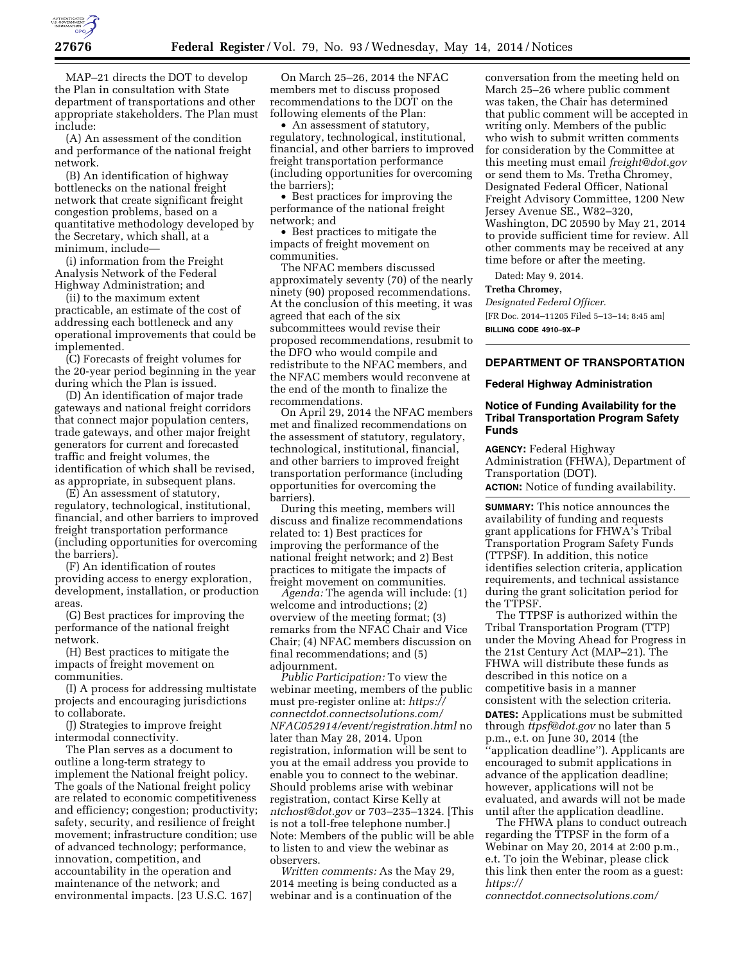

MAP–21 directs the DOT to develop the Plan in consultation with State department of transportations and other appropriate stakeholders. The Plan must include:

(A) An assessment of the condition and performance of the national freight network.

(B) An identification of highway bottlenecks on the national freight network that create significant freight congestion problems, based on a quantitative methodology developed by the Secretary, which shall, at a minimum, include—

(i) information from the Freight Analysis Network of the Federal Highway Administration; and

(ii) to the maximum extent practicable, an estimate of the cost of addressing each bottleneck and any operational improvements that could be implemented.

(C) Forecasts of freight volumes for the 20-year period beginning in the year during which the Plan is issued.

(D) An identification of major trade gateways and national freight corridors that connect major population centers, trade gateways, and other major freight generators for current and forecasted traffic and freight volumes, the identification of which shall be revised, as appropriate, in subsequent plans.

(E) An assessment of statutory, regulatory, technological, institutional, financial, and other barriers to improved freight transportation performance (including opportunities for overcoming the barriers).

(F) An identification of routes providing access to energy exploration, development, installation, or production areas.

(G) Best practices for improving the performance of the national freight network.

(H) Best practices to mitigate the impacts of freight movement on communities.

(I) A process for addressing multistate projects and encouraging jurisdictions to collaborate.

(J) Strategies to improve freight intermodal connectivity.

The Plan serves as a document to outline a long-term strategy to implement the National freight policy. The goals of the National freight policy are related to economic competitiveness and efficiency; congestion; productivity; safety, security, and resilience of freight movement; infrastructure condition; use of advanced technology; performance, innovation, competition, and accountability in the operation and maintenance of the network; and environmental impacts. [23 U.S.C. 167]

On March 25–26, 2014 the NFAC members met to discuss proposed recommendations to the DOT on the following elements of the Plan:

• An assessment of statutory, regulatory, technological, institutional, financial, and other barriers to improved freight transportation performance (including opportunities for overcoming the barriers);

• Best practices for improving the performance of the national freight network; and

• Best practices to mitigate the impacts of freight movement on communities.

The NFAC members discussed approximately seventy (70) of the nearly ninety (90) proposed recommendations. At the conclusion of this meeting, it was agreed that each of the six subcommittees would revise their proposed recommendations, resubmit to the DFO who would compile and redistribute to the NFAC members, and the NFAC members would reconvene at the end of the month to finalize the recommendations.

On April 29, 2014 the NFAC members met and finalized recommendations on the assessment of statutory, regulatory, technological, institutional, financial, and other barriers to improved freight transportation performance (including opportunities for overcoming the barriers).

During this meeting, members will discuss and finalize recommendations related to: 1) Best practices for improving the performance of the national freight network; and 2) Best practices to mitigate the impacts of freight movement on communities.

*Agenda:* The agenda will include: (1) welcome and introductions; (2) overview of the meeting format; (3) remarks from the NFAC Chair and Vice Chair; (4) NFAC members discussion on final recommendations; and (5) adjournment.

*Public Participation:* To view the webinar meeting, members of the public must pre-register online at: *[https://](https://connectdot.connectsolutions.com/NFAC052914/event/registration.html) [connectdot.connectsolutions.com/](https://connectdot.connectsolutions.com/NFAC052914/event/registration.html) [NFAC052914/event/registration.html](https://connectdot.connectsolutions.com/NFAC052914/event/registration.html)* no later than May 28, 2014. Upon registration, information will be sent to you at the email address you provide to enable you to connect to the webinar. Should problems arise with webinar registration, contact Kirse Kelly at *[ntchost@dot.gov](mailto:ntchost@dot.gov)* or 703–235–1324. [This is not a toll-free telephone number.] Note: Members of the public will be able to listen to and view the webinar as observers.

*Written comments:* As the May 29, 2014 meeting is being conducted as a webinar and is a continuation of the

conversation from the meeting held on March 25–26 where public comment was taken, the Chair has determined that public comment will be accepted in writing only. Members of the public who wish to submit written comments for consideration by the Committee at this meeting must email *[freight@dot.gov](mailto:freight@dot.gov)*  or send them to Ms. Tretha Chromey, Designated Federal Officer, National Freight Advisory Committee, 1200 New Jersey Avenue SE., W82–320, Washington, DC 20590 by May 21, 2014 to provide sufficient time for review. All other comments may be received at any time before or after the meeting.

Dated: May 9, 2014.

#### **Tretha Chromey,**

*Designated Federal Officer.*  [FR Doc. 2014–11205 Filed 5–13–14; 8:45 am] **BILLING CODE 4910–9X–P** 

# **DEPARTMENT OF TRANSPORTATION**

#### **Federal Highway Administration**

## **Notice of Funding Availability for the Tribal Transportation Program Safety Funds**

**AGENCY:** Federal Highway Administration (FHWA), Department of Transportation (DOT). **ACTION:** Notice of funding availability.

**SUMMARY:** This notice announces the availability of funding and requests grant applications for FHWA's Tribal Transportation Program Safety Funds (TTPSF). In addition, this notice identifies selection criteria, application requirements, and technical assistance during the grant solicitation period for the TTPSF.

The TTPSF is authorized within the Tribal Transportation Program (TTP) under the Moving Ahead for Progress in the 21st Century Act (MAP–21). The FHWA will distribute these funds as described in this notice on a competitive basis in a manner consistent with the selection criteria. **DATES:** Applications must be submitted through *[ttpsf@dot.gov](mailto:ttpsf@dot.gov)* no later than 5 p.m., e.t. on June 30, 2014 (the ''application deadline''). Applicants are encouraged to submit applications in advance of the application deadline; however, applications will not be evaluated, and awards will not be made until after the application deadline.

The FHWA plans to conduct outreach regarding the TTPSF in the form of a Webinar on May 20, 2014 at 2:00 p.m., e.t. To join the Webinar, please click this link then enter the room as a guest: *[https://](https://connectdot.connectsolutions.com/)*

*[connectdot.connectsolutions.com/](https://connectdot.connectsolutions.com/)*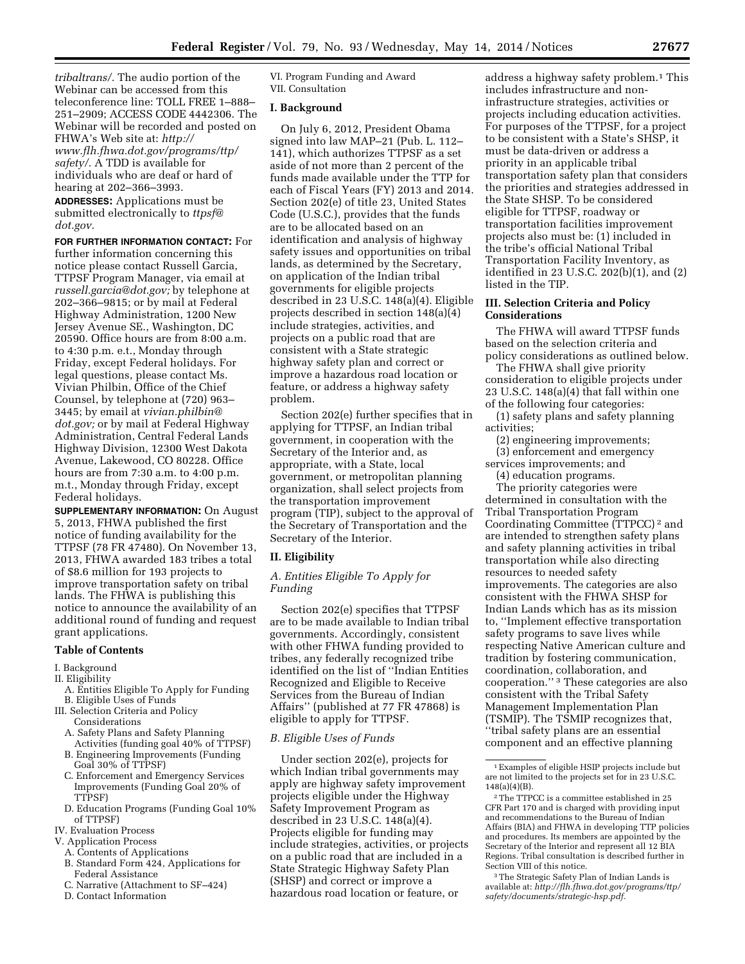*[tribaltrans/.](http://flh.fhwa.dot.gov/programs/ttp/safety/documents/strategic-hsp.pdf.tribaltrans/)* The audio portion of the Webinar can be accessed from this teleconference line: TOLL FREE 1–888– 251–2909; ACCESS CODE 4442306. The Webinar will be recorded and posted on FHWA's Web site at: *[http://](http://www.flh.fhwa.dot.gov/programs/ttp/safety/) [www.flh.fhwa.dot.gov/programs/ttp/](http://www.flh.fhwa.dot.gov/programs/ttp/safety/) [safety/.](http://www.flh.fhwa.dot.gov/programs/ttp/safety/)* A TDD is available for individuals who are deaf or hard of hearing at 202–366–3993.

**ADDRESSES:** Applications must be submitted electronically to *[ttpsf@](mailto:ttpsf@dot.gov) [dot.gov.](mailto:ttpsf@dot.gov)* 

**FOR FURTHER INFORMATION CONTACT:** For further information concerning this notice please contact Russell Garcia, TTPSF Program Manager, via email at *[russell.garcia@dot.gov;](mailto:russell.garcia@dot.gov)* by telephone at 202–366–9815; or by mail at Federal Highway Administration, 1200 New Jersey Avenue SE., Washington, DC 20590. Office hours are from 8:00 a.m. to 4:30 p.m. e.t., Monday through Friday, except Federal holidays. For legal questions, please contact Ms. Vivian Philbin, Office of the Chief Counsel, by telephone at (720) 963– 3445; by email at *[vivian.philbin@](mailto:vivian.philbin@dot.gov) [dot.gov;](mailto:vivian.philbin@dot.gov)* or by mail at Federal Highway Administration, Central Federal Lands Highway Division, 12300 West Dakota Avenue, Lakewood, CO 80228. Office hours are from 7:30 a.m. to 4:00 p.m. m.t., Monday through Friday, except Federal holidays.

**SUPPLEMENTARY INFORMATION:** On August 5, 2013, FHWA published the first notice of funding availability for the TTPSF (78 FR 47480). On November 13, 2013, FHWA awarded 183 tribes a total of \$8.6 million for 193 projects to improve transportation safety on tribal lands. The FHWA is publishing this notice to announce the availability of an additional round of funding and request grant applications.

#### **Table of Contents**

- I. Background
- II. Eligibility
- A. Entities Eligible To Apply for Funding B. Eligible Uses of Funds
- III. Selection Criteria and Policy
	- Considerations A. Safety Plans and Safety Planning Activities (funding goal 40% of TTPSF)
	- B. Engineering Improvements (Funding Goal 30% of TTPSF)
	- C. Enforcement and Emergency Services Improvements (Funding Goal 20% of TTPSF)
	- D. Education Programs (Funding Goal 10% of TTPSF)
- IV. Evaluation Process
- V. Application Process
	- A. Contents of Applications
	- B. Standard Form 424, Applications for Federal Assistance
	- C. Narrative (Attachment to SF–424)
	- D. Contact Information

VI. Program Funding and Award VII. Consultation

### **I. Background**

On July 6, 2012, President Obama signed into law MAP–21 (Pub. L. 112– 141), which authorizes TTPSF as a set aside of not more than 2 percent of the funds made available under the TTP for each of Fiscal Years (FY) 2013 and 2014. Section 202(e) of title 23, United States Code (U.S.C.), provides that the funds are to be allocated based on an identification and analysis of highway safety issues and opportunities on tribal lands, as determined by the Secretary, on application of the Indian tribal governments for eligible projects described in 23 U.S.C. 148(a)(4). Eligible projects described in section 148(a)(4) include strategies, activities, and projects on a public road that are consistent with a State strategic highway safety plan and correct or improve a hazardous road location or feature, or address a highway safety problem.

Section 202(e) further specifies that in applying for TTPSF, an Indian tribal government, in cooperation with the Secretary of the Interior and, as appropriate, with a State, local government, or metropolitan planning organization, shall select projects from the transportation improvement program (TIP), subject to the approval of the Secretary of Transportation and the Secretary of the Interior.

## **II. Eligibility**

*A. Entities Eligible To Apply for Funding* 

Section 202(e) specifies that TTPSF are to be made available to Indian tribal governments. Accordingly, consistent with other FHWA funding provided to tribes, any federally recognized tribe identified on the list of ''Indian Entities Recognized and Eligible to Receive Services from the Bureau of Indian Affairs'' (published at 77 FR 47868) is eligible to apply for TTPSF.

## *B. Eligible Uses of Funds*

Under section 202(e), projects for which Indian tribal governments may apply are highway safety improvement projects eligible under the Highway Safety Improvement Program as described in 23 U.S.C. 148(a)(4). Projects eligible for funding may include strategies, activities, or projects on a public road that are included in a State Strategic Highway Safety Plan (SHSP) and correct or improve a hazardous road location or feature, or

address a highway safety problem.1 This includes infrastructure and noninfrastructure strategies, activities or projects including education activities. For purposes of the TTPSF, for a project to be consistent with a State's SHSP, it must be data-driven or address a priority in an applicable tribal transportation safety plan that considers the priorities and strategies addressed in the State SHSP. To be considered eligible for TTPSF, roadway or transportation facilities improvement projects also must be: (1) included in the tribe's official National Tribal Transportation Facility Inventory, as identified in 23 U.S.C. 202(b)(1), and (2) listed in the TIP.

## **III. Selection Criteria and Policy Considerations**

The FHWA will award TTPSF funds based on the selection criteria and policy considerations as outlined below.

The FHWA shall give priority consideration to eligible projects under 23 U.S.C. 148(a)(4) that fall within one of the following four categories:

(1) safety plans and safety planning activities;

- (2) engineering improvements;
- (3) enforcement and emergency
- services improvements; and (4) education programs.

The priority categories were determined in consultation with the Tribal Transportation Program Coordinating Committee (TTPCC) 2 and are intended to strengthen safety plans and safety planning activities in tribal transportation while also directing resources to needed safety improvements. The categories are also consistent with the FHWA SHSP for Indian Lands which has as its mission to, ''Implement effective transportation safety programs to save lives while respecting Native American culture and tradition by fostering communication, coordination, collaboration, and cooperation.'' 3 These categories are also consistent with the Tribal Safety Management Implementation Plan (TSMIP). The TSMIP recognizes that, ''tribal safety plans are an essential component and an effective planning

3The Strategic Safety Plan of Indian Lands is available at: *[http://flh.fhwa.dot.gov/programs/ttp/](http://flh.fhwa.dot.gov/programs/ttp/safety/documents/strategic-hsp.pdf.tribaltrans/) [safety/documents/strategic-hsp.pdf.](http://flh.fhwa.dot.gov/programs/ttp/safety/documents/strategic-hsp.pdf.tribaltrans/)* 

<sup>1</sup>Examples of eligible HSIP projects include but are not limited to the projects set for in 23 U.S.C. 148(a)(4)(B).

<sup>2</sup>The TTPCC is a committee established in 25 CFR Part 170 and is charged with providing input and recommendations to the Bureau of Indian Affairs (BIA) and FHWA in developing TTP policies and procedures. Its members are appointed by the Secretary of the Interior and represent all 12 BIA Regions. Tribal consultation is described further in Section VIII of this notice.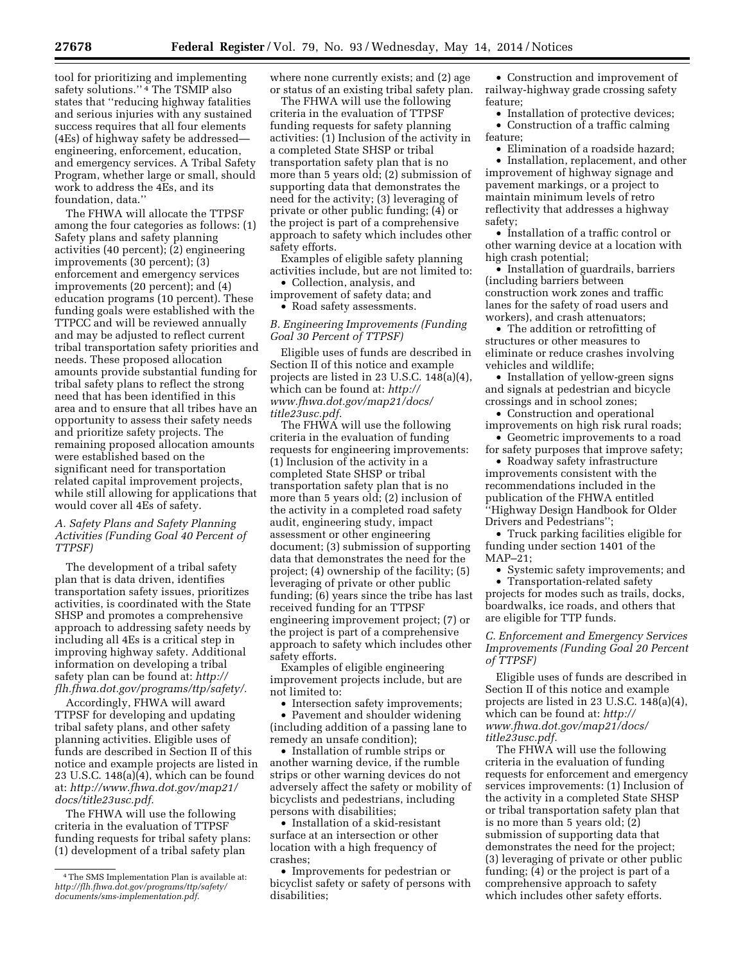tool for prioritizing and implementing

safety solutions." <sup>4</sup> The TSMIP also states that ''reducing highway fatalities and serious injuries with any sustained success requires that all four elements (4Es) of highway safety be addressed engineering, enforcement, education, and emergency services. A Tribal Safety Program, whether large or small, should work to address the 4Es, and its foundation, data.''

The FHWA will allocate the TTPSF among the four categories as follows: (1) Safety plans and safety planning activities (40 percent); (2) engineering improvements (30 percent); (3) enforcement and emergency services improvements (20 percent); and (4) education programs (10 percent). These funding goals were established with the TTPCC and will be reviewed annually and may be adjusted to reflect current tribal transportation safety priorities and needs. These proposed allocation amounts provide substantial funding for tribal safety plans to reflect the strong need that has been identified in this area and to ensure that all tribes have an opportunity to assess their safety needs and prioritize safety projects. The remaining proposed allocation amounts were established based on the significant need for transportation related capital improvement projects, while still allowing for applications that would cover all 4Es of safety.

# *A. Safety Plans and Safety Planning Activities (Funding Goal 40 Percent of TTPSF)*

The development of a tribal safety plan that is data driven, identifies transportation safety issues, prioritizes activities, is coordinated with the State SHSP and promotes a comprehensive approach to addressing safety needs by including all 4Es is a critical step in improving highway safety. Additional information on developing a tribal safety plan can be found at: *[http://](http://flh.fhwa.dot.gov/programs/ttp/safety/) [flh.fhwa.dot.gov/programs/ttp/safety/.](http://flh.fhwa.dot.gov/programs/ttp/safety/)* 

Accordingly, FHWA will award TTPSF for developing and updating tribal safety plans, and other safety planning activities. Eligible uses of funds are described in Section II of this notice and example projects are listed in 23 U.S.C. 148(a)(4), which can be found at: *[http://www.fhwa.dot.gov/map21/](http://www.fhwa.dot.gov/map21/docs/title23usc.pdf) [docs/title23usc.pdf.](http://www.fhwa.dot.gov/map21/docs/title23usc.pdf)* 

The FHWA will use the following criteria in the evaluation of TTPSF funding requests for tribal safety plans: (1) development of a tribal safety plan

where none currently exists; and (2) age or status of an existing tribal safety plan.

The FHWA will use the following criteria in the evaluation of TTPSF funding requests for safety planning activities: (1) Inclusion of the activity in a completed State SHSP or tribal transportation safety plan that is no more than 5 years old; (2) submission of supporting data that demonstrates the need for the activity; (3) leveraging of private or other public funding; (4) or the project is part of a comprehensive approach to safety which includes other safety efforts.

Examples of eligible safety planning activities include, but are not limited to:

• Collection, analysis, and improvement of safety data; and

• Road safety assessments.

## *B. Engineering Improvements (Funding Goal 30 Percent of TTPSF)*

Eligible uses of funds are described in Section II of this notice and example projects are listed in 23 U.S.C. 148(a)(4), which can be found at: *[http://](http://www.fhwa.dot.gov/map21/docs/title23usc.pdf) [www.fhwa.dot.gov/map21/docs/](http://www.fhwa.dot.gov/map21/docs/title23usc.pdf) [title23usc.pdf.](http://www.fhwa.dot.gov/map21/docs/title23usc.pdf)* 

The FHWA will use the following criteria in the evaluation of funding requests for engineering improvements: (1) Inclusion of the activity in a completed State SHSP or tribal transportation safety plan that is no more than 5 years old; (2) inclusion of the activity in a completed road safety audit, engineering study, impact assessment or other engineering document; (3) submission of supporting data that demonstrates the need for the project; (4) ownership of the facility; (5) leveraging of private or other public funding; (6) years since the tribe has last received funding for an TTPSF engineering improvement project; (7) or the project is part of a comprehensive approach to safety which includes other safety efforts.

Examples of eligible engineering improvement projects include, but are not limited to:

• Intersection safety improvements; • Pavement and shoulder widening

(including addition of a passing lane to remedy an unsafe condition);

• Installation of rumble strips or another warning device, if the rumble strips or other warning devices do not adversely affect the safety or mobility of bicyclists and pedestrians, including persons with disabilities;

• Installation of a skid-resistant surface at an intersection or other location with a high frequency of crashes;

• Improvements for pedestrian or bicyclist safety or safety of persons with disabilities;

• Construction and improvement of railway-highway grade crossing safety feature;

• Installation of protective devices; • Construction of a traffic calming feature;

• Elimination of a roadside hazard; • Installation, replacement, and other improvement of highway signage and pavement markings, or a project to maintain minimum levels of retro reflectivity that addresses a highway safety;

• Installation of a traffic control or other warning device at a location with high crash potential;

• Installation of guardrails, barriers (including barriers between construction work zones and traffic lanes for the safety of road users and workers), and crash attenuators;

• The addition or retrofitting of structures or other measures to eliminate or reduce crashes involving vehicles and wildlife;

• Installation of yellow-green signs and signals at pedestrian and bicycle crossings and in school zones;

• Construction and operational improvements on high risk rural roads;

• Geometric improvements to a road for safety purposes that improve safety;

• Roadway safety infrastructure improvements consistent with the recommendations included in the publication of the FHWA entitled ''Highway Design Handbook for Older Drivers and Pedestrians'';

• Truck parking facilities eligible for funding under section 1401 of the MAP–21;

• Systemic safety improvements; and • Transportation-related safety

projects for modes such as trails, docks, boardwalks, ice roads, and others that are eligible for TTP funds.

# *C. Enforcement and Emergency Services Improvements (Funding Goal 20 Percent of TTPSF)*

Eligible uses of funds are described in Section II of this notice and example projects are listed in 23 U.S.C. 148(a)(4), which can be found at: *[http://](http://www.fhwa.dot.gov/map21/docs/title23usc.pdf) [www.fhwa.dot.gov/map21/docs/](http://www.fhwa.dot.gov/map21/docs/title23usc.pdf) [title23usc.pdf.](http://www.fhwa.dot.gov/map21/docs/title23usc.pdf)* 

The FHWA will use the following criteria in the evaluation of funding requests for enforcement and emergency services improvements: (1) Inclusion of the activity in a completed State SHSP or tribal transportation safety plan that is no more than 5 years old; (2) submission of supporting data that demonstrates the need for the project; (3) leveraging of private or other public funding; (4) or the project is part of a comprehensive approach to safety which includes other safety efforts.

<sup>4</sup>The SMS Implementation Plan is available at: *[http://flh.fhwa.dot.gov/programs/ttp/safety/](http://flh.fhwa.dot.gov/programs/ttp/safety/documents/sms-implementation.pdf) [documents/sms-implementation.pdf.](http://flh.fhwa.dot.gov/programs/ttp/safety/documents/sms-implementation.pdf)*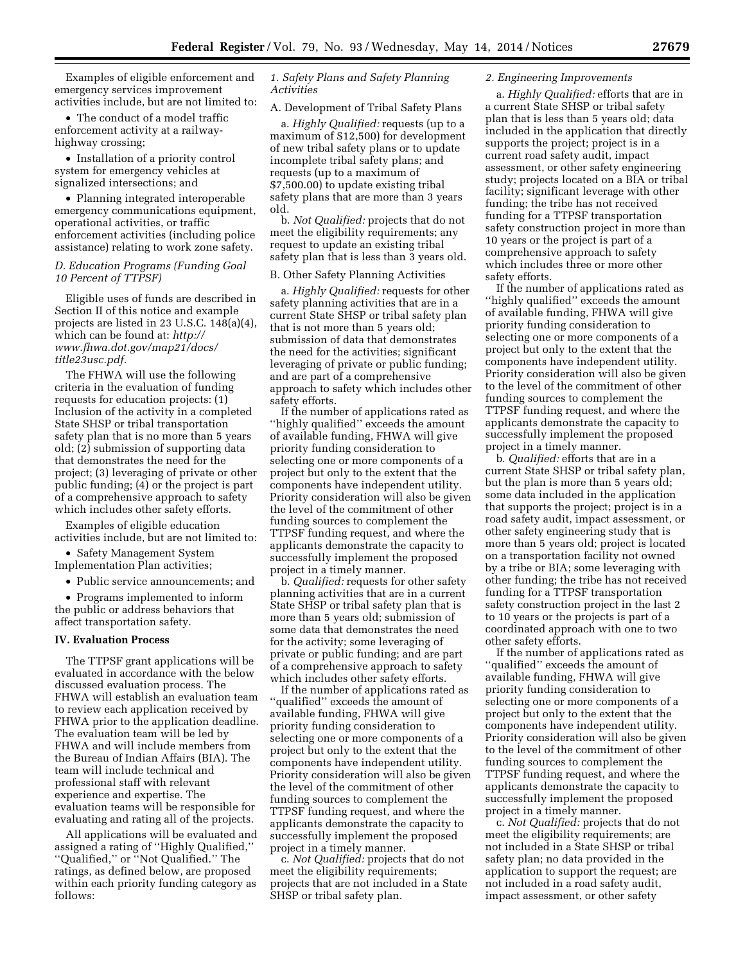Examples of eligible enforcement and emergency services improvement activities include, but are not limited to:

• The conduct of a model traffic enforcement activity at a railwayhighway crossing;

• Installation of a priority control system for emergency vehicles at signalized intersections; and

• Planning integrated interoperable emergency communications equipment, operational activities, or traffic enforcement activities (including police assistance) relating to work zone safety.

## *D. Education Programs (Funding Goal 10 Percent of TTPSF)*

Eligible uses of funds are described in Section II of this notice and example projects are listed in 23 U.S.C. 148(a)(4), which can be found at: *[http://](http://www.fhwa.dot.gov/map21/docs/title23usc.pdf) [www.fhwa.dot.gov/map21/docs/](http://www.fhwa.dot.gov/map21/docs/title23usc.pdf) [title23usc.pdf.](http://www.fhwa.dot.gov/map21/docs/title23usc.pdf)* 

The FHWA will use the following criteria in the evaluation of funding requests for education projects: (1) Inclusion of the activity in a completed State SHSP or tribal transportation safety plan that is no more than 5 years old; (2) submission of supporting data that demonstrates the need for the project; (3) leveraging of private or other public funding; (4) or the project is part of a comprehensive approach to safety which includes other safety efforts.

Examples of eligible education activities include, but are not limited to:

• Safety Management System Implementation Plan activities;

• Public service announcements; and

• Programs implemented to inform the public or address behaviors that affect transportation safety.

#### **IV. Evaluation Process**

The TTPSF grant applications will be evaluated in accordance with the below discussed evaluation process. The FHWA will establish an evaluation team to review each application received by FHWA prior to the application deadline. The evaluation team will be led by FHWA and will include members from the Bureau of Indian Affairs (BIA). The team will include technical and professional staff with relevant experience and expertise. The evaluation teams will be responsible for evaluating and rating all of the projects.

All applications will be evaluated and assigned a rating of ''Highly Qualified,'' ''Qualified,'' or ''Not Qualified.'' The ratings, as defined below, are proposed within each priority funding category as follows:

# *1. Safety Plans and Safety Planning Activities*

A. Development of Tribal Safety Plans

a. *Highly Qualified:* requests (up to a maximum of \$12,500) for development of new tribal safety plans or to update incomplete tribal safety plans; and requests (up to a maximum of \$7,500.00) to update existing tribal safety plans that are more than 3 years old.

b. *Not Qualified:* projects that do not meet the eligibility requirements; any request to update an existing tribal safety plan that is less than 3 years old.

## B. Other Safety Planning Activities

a. *Highly Qualified:* requests for other safety planning activities that are in a current State SHSP or tribal safety plan that is not more than 5 years old; submission of data that demonstrates the need for the activities; significant leveraging of private or public funding; and are part of a comprehensive approach to safety which includes other safety efforts.

If the number of applications rated as ''highly qualified'' exceeds the amount of available funding, FHWA will give priority funding consideration to selecting one or more components of a project but only to the extent that the components have independent utility. Priority consideration will also be given the level of the commitment of other funding sources to complement the TTPSF funding request, and where the applicants demonstrate the capacity to successfully implement the proposed project in a timely manner.

b. *Qualified:* requests for other safety planning activities that are in a current State SHSP or tribal safety plan that is more than 5 years old; submission of some data that demonstrates the need for the activity; some leveraging of private or public funding; and are part of a comprehensive approach to safety which includes other safety efforts.

If the number of applications rated as ''qualified'' exceeds the amount of available funding, FHWA will give priority funding consideration to selecting one or more components of a project but only to the extent that the components have independent utility. Priority consideration will also be given the level of the commitment of other funding sources to complement the TTPSF funding request, and where the applicants demonstrate the capacity to successfully implement the proposed project in a timely manner.

c. *Not Qualified:* projects that do not meet the eligibility requirements; projects that are not included in a State SHSP or tribal safety plan.

# *2. Engineering Improvements*

a. *Highly Qualified:* efforts that are in a current State SHSP or tribal safety plan that is less than 5 years old; data included in the application that directly supports the project; project is in a current road safety audit, impact assessment, or other safety engineering study; projects located on a BIA or tribal facility; significant leverage with other funding; the tribe has not received funding for a TTPSF transportation safety construction project in more than 10 years or the project is part of a comprehensive approach to safety which includes three or more other safety efforts.

If the number of applications rated as ''highly qualified'' exceeds the amount of available funding, FHWA will give priority funding consideration to selecting one or more components of a project but only to the extent that the components have independent utility. Priority consideration will also be given to the level of the commitment of other funding sources to complement the TTPSF funding request, and where the applicants demonstrate the capacity to successfully implement the proposed project in a timely manner.

b. *Qualified:* efforts that are in a current State SHSP or tribal safety plan, but the plan is more than 5 years old; some data included in the application that supports the project; project is in a road safety audit, impact assessment, or other safety engineering study that is more than 5 years old; project is located on a transportation facility not owned by a tribe or BIA; some leveraging with other funding; the tribe has not received funding for a TTPSF transportation safety construction project in the last 2 to 10 years or the projects is part of a coordinated approach with one to two other safety efforts.

If the number of applications rated as ''qualified'' exceeds the amount of available funding, FHWA will give priority funding consideration to selecting one or more components of a project but only to the extent that the components have independent utility. Priority consideration will also be given to the level of the commitment of other funding sources to complement the TTPSF funding request, and where the applicants demonstrate the capacity to successfully implement the proposed project in a timely manner.

c. *Not Qualified:* projects that do not meet the eligibility requirements; are not included in a State SHSP or tribal safety plan; no data provided in the application to support the request; are not included in a road safety audit, impact assessment, or other safety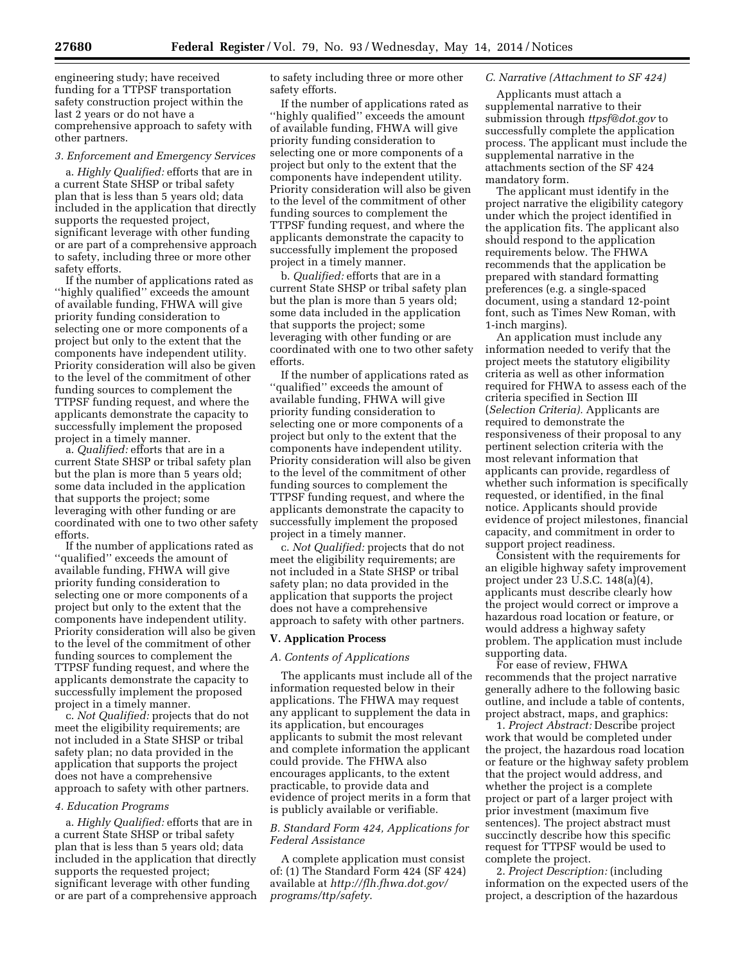engineering study; have received funding for a TTPSF transportation safety construction project within the last 2 years or do not have a comprehensive approach to safety with other partners.

#### *3. Enforcement and Emergency Services*

a. *Highly Qualified:* efforts that are in a current State SHSP or tribal safety plan that is less than 5 years old; data included in the application that directly supports the requested project, significant leverage with other funding or are part of a comprehensive approach to safety, including three or more other safety efforts.

If the number of applications rated as ''highly qualified'' exceeds the amount of available funding, FHWA will give priority funding consideration to selecting one or more components of a project but only to the extent that the components have independent utility. Priority consideration will also be given to the level of the commitment of other funding sources to complement the TTPSF funding request, and where the applicants demonstrate the capacity to successfully implement the proposed project in a timely manner.

a. *Qualified:* efforts that are in a current State SHSP or tribal safety plan but the plan is more than 5 years old; some data included in the application that supports the project; some leveraging with other funding or are coordinated with one to two other safety efforts.

If the number of applications rated as ''qualified'' exceeds the amount of available funding, FHWA will give priority funding consideration to selecting one or more components of a project but only to the extent that the components have independent utility. Priority consideration will also be given to the level of the commitment of other funding sources to complement the TTPSF funding request, and where the applicants demonstrate the capacity to successfully implement the proposed project in a timely manner.

c. *Not Qualified:* projects that do not meet the eligibility requirements; are not included in a State SHSP or tribal safety plan; no data provided in the application that supports the project does not have a comprehensive approach to safety with other partners.

### *4. Education Programs*

a. *Highly Qualified:* efforts that are in a current State SHSP or tribal safety plan that is less than 5 years old; data included in the application that directly supports the requested project; significant leverage with other funding or are part of a comprehensive approach to safety including three or more other safety efforts.

If the number of applications rated as ''highly qualified'' exceeds the amount of available funding, FHWA will give priority funding consideration to selecting one or more components of a project but only to the extent that the components have independent utility. Priority consideration will also be given to the level of the commitment of other funding sources to complement the TTPSF funding request, and where the applicants demonstrate the capacity to successfully implement the proposed project in a timely manner.

b. *Qualified:* efforts that are in a current State SHSP or tribal safety plan but the plan is more than 5 years old; some data included in the application that supports the project; some leveraging with other funding or are coordinated with one to two other safety efforts.

If the number of applications rated as ''qualified'' exceeds the amount of available funding, FHWA will give priority funding consideration to selecting one or more components of a project but only to the extent that the components have independent utility. Priority consideration will also be given to the level of the commitment of other funding sources to complement the TTPSF funding request, and where the applicants demonstrate the capacity to successfully implement the proposed project in a timely manner.

c. *Not Qualified:* projects that do not meet the eligibility requirements; are not included in a State SHSP or tribal safety plan; no data provided in the application that supports the project does not have a comprehensive approach to safety with other partners.

### **V. Application Process**

#### *A. Contents of Applications*

The applicants must include all of the information requested below in their applications. The FHWA may request any applicant to supplement the data in its application, but encourages applicants to submit the most relevant and complete information the applicant could provide. The FHWA also encourages applicants, to the extent practicable, to provide data and evidence of project merits in a form that is publicly available or verifiable.

## *B. Standard Form 424, Applications for Federal Assistance*

A complete application must consist of: (1) The Standard Form 424 (SF 424) available at *[http://flh.fhwa.dot.gov/](http://flh.fhwa.dot.gov/programs/ttp/safety) [programs/ttp/safety](http://flh.fhwa.dot.gov/programs/ttp/safety)*.

## *C. Narrative (Attachment to SF 424)*

Applicants must attach a supplemental narrative to their submission through *[ttpsf@dot.gov](mailto:ttpsf@dot.gov)* to successfully complete the application process. The applicant must include the supplemental narrative in the attachments section of the SF 424 mandatory form.

The applicant must identify in the project narrative the eligibility category under which the project identified in the application fits. The applicant also should respond to the application requirements below. The FHWA recommends that the application be prepared with standard formatting preferences (e.g. a single-spaced document, using a standard 12-point font, such as Times New Roman, with 1-inch margins).

An application must include any information needed to verify that the project meets the statutory eligibility criteria as well as other information required for FHWA to assess each of the criteria specified in Section III (*Selection Criteria).* Applicants are required to demonstrate the responsiveness of their proposal to any pertinent selection criteria with the most relevant information that applicants can provide, regardless of whether such information is specifically requested, or identified, in the final notice. Applicants should provide evidence of project milestones, financial capacity, and commitment in order to support project readiness.

Consistent with the requirements for an eligible highway safety improvement project under 23 U.S.C. 148(a)(4), applicants must describe clearly how the project would correct or improve a hazardous road location or feature, or would address a highway safety problem. The application must include supporting data.

For ease of review, FHWA recommends that the project narrative generally adhere to the following basic outline, and include a table of contents, project abstract, maps, and graphics:

1. *Project Abstract:* Describe project work that would be completed under the project, the hazardous road location or feature or the highway safety problem that the project would address, and whether the project is a complete project or part of a larger project with prior investment (maximum five sentences). The project abstract must succinctly describe how this specific request for TTPSF would be used to complete the project.

2. *Project Description:* (including information on the expected users of the project, a description of the hazardous